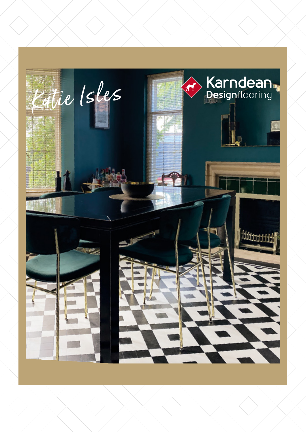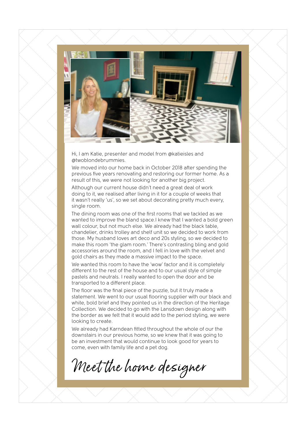

Hi, I am Katie, presenter and model from @katieisles and @twoblondebrummies.

We moved into our home back in October 2018 after spending the previous five years renovating and restoring our former home. As a result of this, we were not looking for another big project.

Although our current house didn't need a great deal of work doing to it, we realised after living in it for a couple of weeks that it wasn't really 'us', so we set about decorating pretty much every, single room.

The dining room was one of the first rooms that we tackled as we wanted to improve the bland space.I knew that I wanted a bold green wall colour, but not much else. We already had the black table, chandelier, drinks trolley and shelf unit so we decided to work from those. My husband loves art deco and 20s styling, so we decided to make this room 'the glam room.' There's contrasting bling and gold accessories around the room, and I fell in love with the velvet and gold chairs as they made a massive impact to the space.

We wanted this room to have the 'wow' factor and it is completely different to the rest of the house and to our usual style of simple pastels and neutrals. I really wanted to open the door and be transported to a different place.

The floor was the final piece of the puzzle, but it truly made a statement. We went to our usual flooring supplier with our black and white, bold brief and they pointed us in the direction of the Heritage Collection. We decided to go with the Lansdown design along with the border as we felt that it would add to the period styling, we were looking to create.

We already had Karndean fitted throughout the whole of our the downstairs in our previous home, so we knew that it was going to be an investment that would continue to look good for years to come, even with family life and a pet dog.

Meet the home designer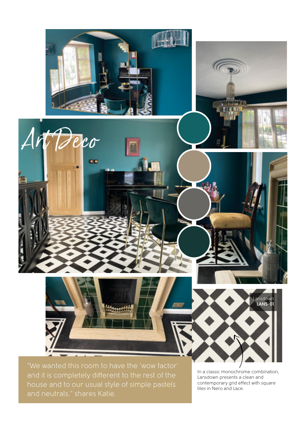

and it is completely different to the rest of the house and to our usual style of simple pastels and neutrals." shares Katie.

In a classic monochrome combination, Lansdown presents a clean and contemporary grid effect with square tiles in Nero and Lace.